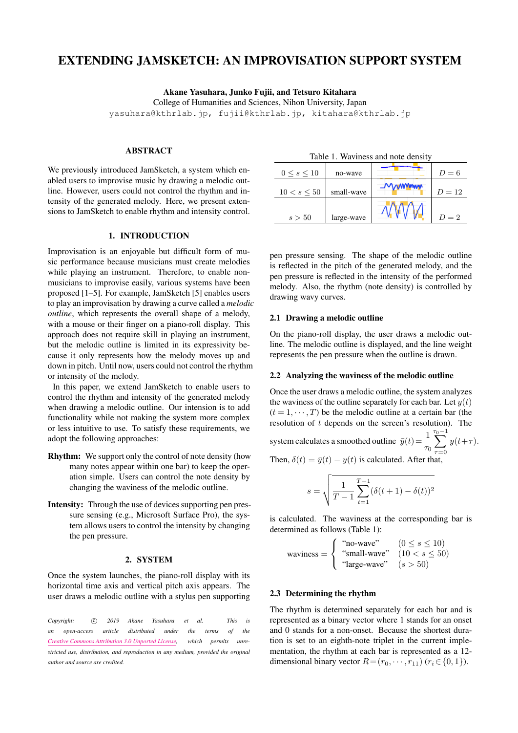# EXTENDING JAMSKETCH: AN IMPROVISATION SUPPORT SYSTEM

Akane Yasuhara, Junko Fujii, and Tetsuro Kitahara

College of Humanities and Sciences, Nihon University, Japan

yasuhara@kthrlab.jp, fujii@kthrlab.jp, kitahara@kthrlab.jp

# ABSTRACT

We previously introduced JamSketch, a system which enabled users to improvise music by drawing a melodic outline. However, users could not control the rhythm and intensity of the generated melody. Here, we present extensions to JamSketch to enable rhythm and intensity control.

# 1. INTRODUCTION

Improvisation is an enjoyable but difficult form of music performance because musicians must create melodies while playing an instrument. Therefore, to enable nonmusicians to improvise easily, various systems have been proposed [1–5]. For example, JamSketch [5] enables users to play an improvisation by drawing a curve called a *melodic outline*, which represents the overall shape of a melody, with a mouse or their finger on a piano-roll display. This approach does not require skill in playing an instrument, but the melodic outline is limited in its expressivity because it only represents how the melody moves up and down in pitch. Until now, users could not control the rhythm or intensity of the melody.

In this paper, we extend JamSketch to enable users to control the rhythm and intensity of the generated melody when drawing a melodic outline. Our intension is to add functionality while not making the system more complex or less intuitive to use. To satisfy these requirements, we adopt the following approaches:

- Rhythm: We support only the control of note density (how many notes appear within one bar) to keep the operation simple. Users can control the note density by changing the waviness of the melodic outline.
- Intensity: Through the use of devices supporting pen pressure sensing (e.g., Microsoft Surface Pro), the system allows users to control the intensity by changing the pen pressure.

#### 2. SYSTEM

Once the system launches, the piano-roll display with its horizontal time axis and vertical pitch axis appears. The user draws a melodic outline with a stylus pen supporting

*Copyright: ⃝*c *2019 Akane Yasuhara et al. This is an open-access article distributed under the terms of the Creative Commons Attribution 3.0 Unported License, which permits unrestricted use, distribution, and reproduction in any medium, provided the original author and source are credited.*

| Table 1. Waviness and note density |            |  |          |  |
|------------------------------------|------------|--|----------|--|
| $0 \leq s \leq 10$                 | no-wave    |  | $D=6$    |  |
| $10 < s \leq 50$                   | small-wave |  | $D = 12$ |  |
| s > 50                             | large-wave |  | $D=2$    |  |

pen pressure sensing. The shape of the melodic outline is reflected in the pitch of the generated melody, and the pen pressure is reflected in the intensity of the performed melody. Also, the rhythm (note density) is controlled by drawing wavy curves.

# 2.1 Drawing a melodic outline

On the piano-roll display, the user draws a melodic outline. The melodic outline is displayed, and the line weight represents the pen pressure when the outline is drawn.

#### 2.2 Analyzing the waviness of the melodic outline

Once the user draws a melodic outline, the system analyzes the waviness of the outline separately for each bar. Let  $y(t)$  $(t = 1, \dots, T)$  be the melodic outline at a certain bar (the resolution of *t* depends on the screen's resolution). The

system calculates a smoothed outline 
$$
\bar{y}(t) = \frac{1}{\tau_0} \sum_{\tau=0}^{\tau_0-1} y(t+\tau)
$$
.

Then,  $\delta(t) = \bar{y}(t) - y(t)$  is calculated. After that,

$$
s = \sqrt{\frac{1}{T-1} \sum_{t=1}^{T-1} (\delta(t+1) - \delta(t))^2}
$$

is calculated. The waviness at the corresponding bar is determined as follows (Table 1):

waviness =  $\sqrt{ }$  $\frac{1}{2}$  $\mathbf{I}$ "no-wave"  $(0 \le s \le 10)$ "small-wave"  $(10 < s \le 50)$ "large-wave" (*s >* 50)

## 2.3 Determining the rhythm

The rhythm is determined separately for each bar and is represented as a binary vector where 1 stands for an onset and 0 stands for a non-onset. Because the shortest duration is set to an eighth-note triplet in the current implementation, the rhythm at each bar is represented as a 12 dimensional binary vector  $R = (r_0, \dots, r_{11})$  ( $r_i \in \{0, 1\}$ ).